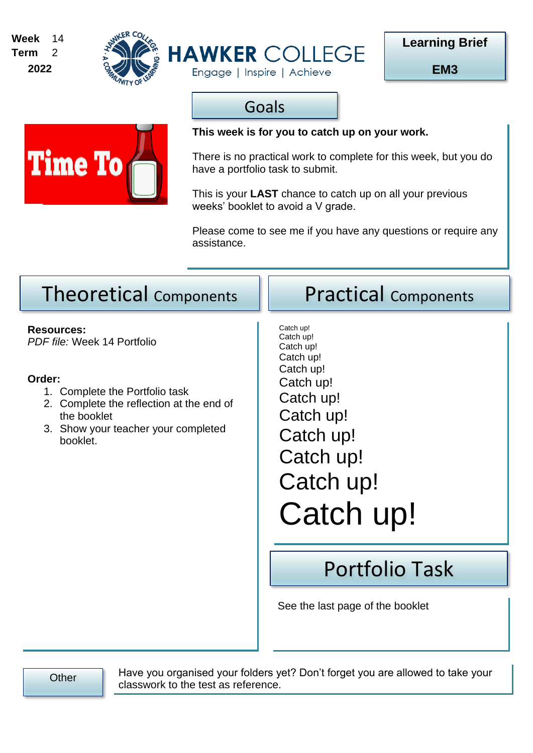





**EM3**

## Goals

Engage | Inspire | Achieve



### **This week is for you to catch up on your work.**

There is no practical work to complete for this week, but you do have a portfolio task to submit.

This is your **LAST** chance to catch up on all your previous weeks' booklet to avoid a V grade.

Please come to see me if you have any questions or require any assistance.

## Theoretical Components | Practical Components

**Resources:** *PDF file:* Week 14 Portfolio

#### **Order:**

- 1. Complete the Portfolio task
- 2. Complete the reflection at the end of the booklet
- 3. Show your teacher your completed booklet.

Catch up! Catch up! Catch up! Catch up! Catch up! Catch up! Catch up! Catch up! Catch up! Catch up! Catch up! Catch up!

# Portfolio Task

See the last page of the booklet

Other Have you organised your folders yet? Don't forget you are allowed to take your classwork to the test as reference.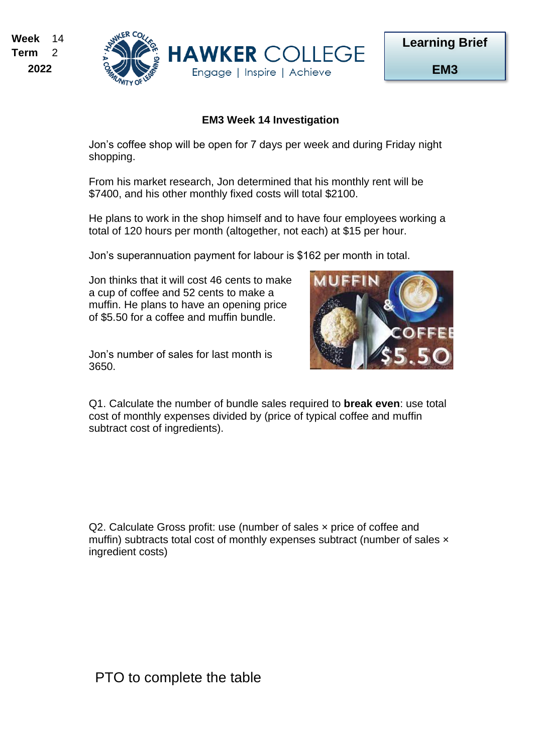



#### **EM3 Week 14 Investigation**

Jon's coffee shop will be open for 7 days per week and during Friday night shopping.

From his market research, Jon determined that his monthly rent will be \$7400, and his other monthly fixed costs will total \$2100.

He plans to work in the shop himself and to have four employees working a total of 120 hours per month (altogether, not each) at \$15 per hour.

Jon's superannuation payment for labour is \$162 per month in total.

Jon thinks that it will cost 46 cents to make a cup of coffee and 52 cents to make a muffin. He plans to have an opening price of \$5.50 for a coffee and muffin bundle.

Jon's number of sales for last month is 3650.



Q1. Calculate the number of bundle sales required to **break even**: use total cost of monthly expenses divided by (price of typical coffee and muffin subtract cost of ingredients).

Q2. Calculate Gross profit: use (number of sales x price of coffee and muffin) subtracts total cost of monthly expenses subtract (number of sales x ingredient costs)

PTO to complete the table